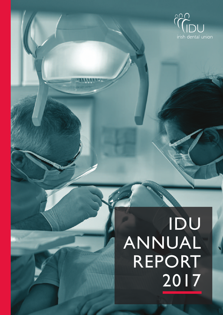

# IDU ANNUAL REPORT 2017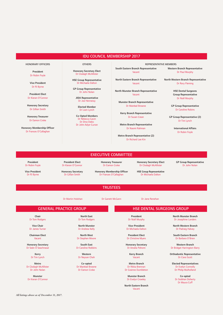# IDU COUNCIL MEMBERSHIP 2017

#### HONORARY OFFICERS

**President** Dr Robin Foyle

**Vice President** Dr PJ Byrne

**President Elect** Dr Kieran O'Connor

**Honorary Secretary** Dr Gillian Smith

**Honorary Treasurer** Dr Eamon Croke

**Honorary Membership Officer** Dr Frances O'Callaghan

**OTHERS** 

**Honorary Secretary Elect** Dr Clodagh McAllister

**HSE Group Representative** Dr Michaela Dalton

**GP Group Representative** Dr John Nolan

> **JIDA Representative** Dr Joe Hennessy

**Elected Member** Dr Liam Lynch

**Co-Opted Members** Dr Rebecca Gavin Dr Dina Dabic Dr John Adye-Curran

**South Eastern Branch Representative** Vacant REPRESENTATIVE MEMBERS

**North Eastern Branch Representative** Vacant

**North Munster Branch Representative** Vacant

**Munster Branch Representative** Dr Mairéad Browne

**Kerry Branch Representative** Dr Susan Crean

**Metro Branch Representative** Dr Naomi Rahman

**Metro Branch Representative (2)** Dr Richard Lee Kin

**Western Branch Representative** Dr Paul Murphy

**North Western Branch Representative** Dr Rory Fleming

> **HSE Dental Surgeons Group Representative** Dr Niall Murphy

**GP Group Representative** Dr Caroline Robins

**GP Group Representative (2)** Dr Tim Lynch

> **International Affairs** Dr Robin Foyle

**President** Dr Robin Foyle

**President Elect** Dr Kieran O'Connor **Honorary Treasurer** Dr Eamon Croke

EXECUTIVE COMMITTEE

Dr Frances O'Callaghan

**Honorary Secretary Elect** Dr Clodagh McAllister

**HSE Group Representative** Dr Michaela Dalton

**GP Group Representative** Dr John Nolan

**Vice President** Dr PJ Byrne

**Honorary Secretary** Dr Gillian Smith

**Honorary Membership Officer**

# **TRUSTEES**

# GENERAL PRACTICE GROUP THE RESERVE HSE DENTAL SURGEONS GROUP

**Chair** Dr Tom Rodgers

**Vice Chair** Dr James Turner

**Chairman Elect** Vacant

**Honorary Secretary** Dr Seán Ó Seachnasaí

> **Kerry** Dr Tim Lynch

**Metro** Dr Clodagh McAllister Dr John Nolan

**Munster** Dr Kieran O'Connor **North East**

**North Munster** Dr Andrew Kelly

Dr Stephen Moore

**South East** Dr Caroline Robbins

**Western**

**Co-opted** Dr Mairéad Browne Dr Eamon Croke

**President** Dr Niall Murphy

**Vice-President**

Dr Michaela Dalton **President Elect**

Dr Christine Myers **Honorary Secretary**

Dr Amalia Pahomi

**Kerry Branch** Vacant

**Metro Branch** Dr Rikka Brennan Dr Grainne Dumbleton

**Munster Branch** Dr Evelyn Crowley

**North Eastern Branch** Vacant

**North Munster Branch** Dr Josephine Landers

**North Western Branch** Dr Padraig Halvey

**South Eastern Branch** Dr Barbara O'Brien

**Western Branch** Dr Bridget Harrington-Barry

**Orthodontic Representative** Dr Ciara Scott

**Elected Representatives** Dr Evelyn Connolly Dr Philip Mulholland

> **Co-opted** Dr Siobhan Doherty Dr Maura Cuff

# Dr Tom Rodgers

**North West**

Dr Neysan Chah

Dr Martin Holohan Dr Garrett McGann Dr Jane Renehan

# *All listings above as of December 31, 2017.*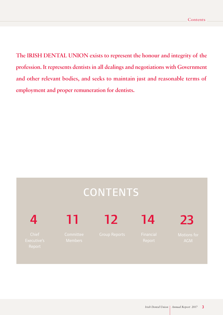**The IRISH DENTAL UNION exists to represent the honour and integrity of the profession. Itrepresents dentistsin all dealings and negotiations with Government and other relevant bodies, and seeks to maintain just and reasonable terms of employment and proper remuneration for dentists.**

# **CONTENTS**

**4**

**11**

**12**

**14**

**23**

*Irish Dental Union Annual Report <sup>2017</sup>* 3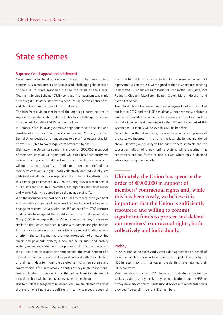# State schemes

#### Supreme Court appeal and settlement

Seven years after legal action was initiated in the name of two dentists, Drs James Turner and Martin Reid, challenging the decision of the HSE to make swingeing cuts to the terms of the Dental Treatment Service Scheme (DTSS) contract, final payment was made of the legal bills associated with a series of injunction applications, and High Court and Supreme Court challenges.

The Irish Dental Union met in total the large legal costs incurred in support of members who undertook this legal challenge, which we hoped would benefit all DTSS contract holders.

In October 2017, following extensive negotiations with the HSE and consideration by our Executive Committee and Council, the Irish Dental Union decided on arrangements to pay a final outstanding bill of over €465,977 to cover legal costs presented by the HSE.

Ultimately, the Union has spent in the order of  $\epsilon$ 900,000 in support of members' contractual rights and, while this has been costly, we believe it is important that the Union is sufficiently resourced and willing to commit significant funds to protect and defend our members' contractual rights, both collectively and individually. We wish to thank all who have supported the Union in its efforts since this campaign commenced in 2009, including previous members of our Council and Executive Committee, and especially Drs James Turner and Martin Reid, who agreed to be the named plaintiffs.

With the unanimous support of our Council members, the agreement also includes a number of measures that we hope will allow us to engage more constructively with the HSE on behalf of DTSS contract holders. We have agreed the establishment of a Joint Consultative Group (JCG) to engage with the HSE on a range of issues, in a manner similar to that which has been in place with doctors and pharmacists for many years. Among the agenda items we expect to discuss as a priority in the coming months, are: the introduction of a new online claims and payments system; a new and fairer audit and probity system; issues associated with the provision of DTSS contracts and the current practice inspection arrangements; the establishment of a network of contractors who will be paid to assist with the collection of oral health data to inform the development of a new scheme and contract; and, a forum to resolve disputes as they relate to individual contract holders. In the event that the online claims targets are not met, then there will be no payments made to the Union.

Due to prudent management in recent years, we are pleased to advise that the Union's finances are sufficiently healthy to meet the costs of the final bill without recourse to lending or member levies. IDU representatives on the JCG were agreed at the GP Committee meeting in December 2017 and are as follows: Drs John Nolan, Tim Lynch, Tom Rodgers, Clodagh McAllister, Eamon Croke, Martin Holohan and Kieran O'Connor.

The introduction of a new online claims/payment system was rolled out late in 2017 and the HSE has already, independently, enlisted a number of dentists to commence its preparations. The Union will be centrally involved in discussions with the HSE on the rollout of this system and ultimately we believe this will be beneficial.

Depending on the take-up rate, we may be able to recoup some of the costs we incurred in financing the legal challenges mentioned above. However, our priority will be our members' interests and the successful rollout of a new online system, while ensuring that contractors are not forced to use it even where this is deemed advantageous by the majority.

**Ultimately, the Union has spent in the order** of €900,000 in support of **members' contractual rights and, while this has been costly, we believe it is important that the Union is sufficiently resourced and willing to commit significant funds to protect and defend our members' contractual rights, both collectively and individually.**

#### Probity

In 2017, the Union successfully concluded agreement on behalf of a number of dentists who have been the subject of audits by the HSE in recent months. In all cases, the dentists have retained their DTSS contracts.

Members should contact IDA House and their dental protection society as soon as they receive any communication from the HSE, or if they have any concerns. Professional advice and representation is provided free to all in-benefit IDU members.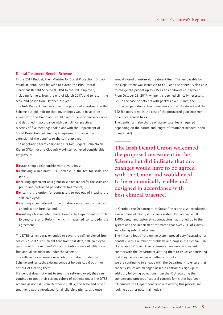# Dental Treatment Benefit Scheme

In the 2017 Budget, then Minister for Social Protection, Dr Leo Varadkar, announced his wish to extend the PRSI Dental Treatment Benefit Scheme (DTBS) to the self-employed, including farmers, from the end of March 2017, and to return the scale and polish from October last year.

The Irish Dental Union welcomed the proposed investment in the Scheme but did indicate that any changes would have to be agreed with the Union and would need to be economically viable and designed in accordance with best clinical practice. A series of five meetings took place with the Department of Social Protection culminating in agreement to allow the extension of the benefits to the self-employed.

The negotiating team comprising Drs Tom Rogers, John Nolan, Kieran O'Connor and Clodagh McAllister achieved considerable progress in:

- **■** establishing a relationship with private fees;
- ■**achieving a minimum 30% increase in the fee for scale and** polish;
- **■** securing agreement on a grant-in-aid fee model for the scale and polish and protracted periodontal treatments;
- ensuring the option for contractors to opt out of treating the self-employed;
- **■** securing a commitment to negotiations on a new contract and an indexation formula; and,
- **■** resisting a last-minute intervention by the Department of Public Expenditure and Reform, which threatened to torpedo the agreement.

The DTBS scheme was extended to cover the self-employed from March 27, 2017. This meant that from that date, self-employed persons with the required PRSI contributions were eligible for a free annual examination under the Scheme.

The self-employed were a new cohort of patient under the Scheme and, as such, existing contract holders could opt in or opt out of treating them.

If a dentist does not want to treat the self-employed, they can continue to treat their current cohort of patients under the DTBS scheme as normal. From October 28, 2017, the scale and polish treatment was reintroduced for all eligible patients, as a onceannual closed grant-in-aid treatment item. The fee payable by the Department was increased to  $E$ 42, and the dentist is also able to charge the patient up to  $E15$  as an additional co-payment. From October 28, 2017, where it is deemed clinically necessary, i.e., in the case of patients with pockets over 3.5mm, the protracted periodontal treatment was also re-introduced and the  $£42$  fee goes towards the cost of the protracted gum treatment on a once-annual basis.

The dentist can also charge whatever total fee is required depending on the nature and length of treatment needed (open grant in aid).

**The Irish Dental Union welcomed the proposed investment in the Scheme but did indicate that any changes would have to be agreed with the Union and would need to be economically viable and designed in accordance with best clinical practice.**

In October, the Department of Social Protection also introduced a new online eligibility and claims system. By January 2018, 1,400 dental and optometrist contractors had signed up to the system and the Department estimated that over 70% of claims were being submitted online.

The initial rollout of the online system proved very frustrating for dentists, with a number of problems and bugs in the system. IDA House and GP Committee representatives were in constant contact with the Department alerting them to issues and insisting that they be resolved as a matter of priority.

We are continuing to engage with the Department to ensure that capacity issues are managed as more contractors sign up. In addition, following objections from the IDU regarding the cumbersome process of spousal consent forms that had been introduced, the Department is now reviewing this process and looking at other potential models.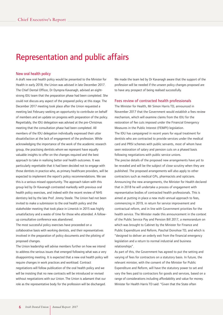# Representation and public affairs

## New oral health policy

A draft new oral health policy would be presented to the Minister for Health in early 2018, the Union was advised in late December 2017. The Chief Dental Officer, Dr Dympna Kavanagh, advised an eightstrong IDU team that the preparation phase had been completed. She could not discuss any aspect of the prepared policy at this stage. The December 2017 meeting took place after the Union requested a meeting last February seeking an opportunity to contribute on behalf of members and an update on progress with preparation of the policy. Regrettably, the IDU delegation was advised at the pre-Christmas meeting that the consultation phase had been completed. All members of the IDU delegation individually expressed their utter dissatisfaction at the lack of engagement of the profession. While acknowledging the importance of the work of the academic research group, the practising dentists whom we represent have equally valuable insights to offer on the changes required and the best approach to take in realising better oral health outcomes. It was particularly regrettable that it had been decided not to engage with those dentists in practice who, as primary healthcare providers, will be expected to implement the report's policy recommendations. We see this is a serious missed opportunity. The approach taken with this group led by Dr Kavanagh contrasted markedly with previous oral health policy exercises, and indeed with the recent review of NHS dentistry led by the late Prof. Jimmy Steele. The Union had not been invited to make a submission to the oral health policy and the stakeholder meeting that took place in Limerick in 2015 was highly unsatisfactory and a waste of time for those who attended. A followup consultative conference was abandoned.

The most successful policy exercises have proceeded on a collaborative basis with working dentists, and their representatives involved in the preparation of policy documents and the piloting of proposed changes.

The Union leadership will advise members further on how we intend to address the serious issues that emerged following what was a very disappointing meeting. It is expected that a new oral health policy will require changes in work practices and workload. Contract negotiations will follow publication of the oral health policy and we will be insisting that no new contracts will be introduced or revised without negotiations with our Union. The Union is adamant that our role as the representative body for the profession will be discharged.

We made the team led by Dr Kavanagh aware that the support of the profession will be needed if the unseen policy changes proposed are to have any prospect of being realised successfully.

## Fees review of contracted health professionals

The Minister for Health, Mr Simon Harris TD, announced in November 2017 that the Government would establish a fees review mechanism, which will examine claims from the IDU for the restoration of fee cuts imposed under the Financial Emergency Measures in the Public Interest (FEMPI) legislation. The IDU has campaigned in recent years for equal treatment for dentists who are contracted to provide services under the medical card and PRSI schemes with public servants, most of whom have seen restoration of salary and pension cuts on a phased basis following negotiations with public service unions. The precise details of the proposed new arrangements have yet to be revealed and will be the subject of close scrutiny when they are published. The proposed arrangements will also apply to other contractors such as medical GPs, pharmacists and opticians. Announcing the new arrangements, the Minister for Health declared that in 2018 he will undertake a process of engagement with representative bodies of contracted health professionals. This is aimed at putting in place a new multi-annual approach to fees, commencing in 2019, in return for service improvement and contractual reform, and in line with Government priorities for the health service. The Minister made this announcement in the context of the Public Service Pay and Pension Bill 2017, a memorandum on which was brought to Cabinet by the Minister for Finance and Public Expenditure and Reform, Paschal Donohoe TD, and which is "designed to deliver an orderly exit from the financial emergency legislation and a return to normal industrial and business relationships".

As part of this, the Government has agreed to put the setting and varying of fees for contractors on a statutory basis. In future, the relevant minister, with the consent of the Minister for Public Expenditure and Reform, will have the statutory power to set and vary the fees paid to contractors for goods and services, based on a range of considerations including affordability and value for money. Minister for Health Harris TD said: "Given that the State often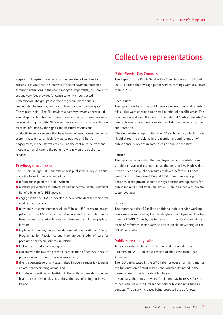# Collective representations

# Public Service Pay Commission The Report of the Public Service Pay Commission was published in

2017. It found that average public service earnings were 8% lower than in 2008.

# Recruitment

The report concludes that public service recruitment and retention difficulties were confined to a small number of specific areas. The Commission endorsed the view of the IDA that "public dentistry" is one such area where there is evidence of difficulties in recruitment and retention.

The Commission's report cited the IDA's submission, which it says "highlighted the problems in the recruitment and retention of public dental surgeons in some areas of public dentistry".

#### Pension

The report recommended that employee pension contributions should increase at the same time as the pension levy is phased out. It concluded that public servants employed before 2013 have pensions worth between 12% and 18% more than average pensions in the private sector but says pension arrangements for public servants hired after January 2013 are on a par with private sector averages.

#### **Hours**

The report said that 15 million additional public service working hours were introduced by the Haddington Road Agreement rather than by FEMPI. As such, the issue was outside the Commission's terms of reference, which were to advise on the unwinding of the FEMPI legislation.

## Public service pay talks

Talks concluded in June 2017 at the Workplace Relations Commission (WRC) on the extension of the Lansdowne Road Agreement.

The IDU participated in the WRC talks for over a fortnight and for the full duration of most discussions, which culminated in the presentation of the terms detailed below.

In summary, the terms provided for limited pay increases for staff of between 6% and 7% for higher paid public servants such as dentists. The salary increases being proposed are as follows:

engages in long-term contracts for the provision of services to citizens, it is vital that the interests of the taxpayer are protected through fluctuations in the economic cycle. Importantly, this power to set and vary fees provides for consultation with contracted professionals. The groups involved are general practitioners, community pharmacists, dentists, opticians and opthalmologists". The Minister said: "The Bill provides a pathway towards a new multiannual approach to fees for primary care contractors whose fees were reduced during the crisis. Of course, the approach to any consultation must be informed by the significant structural reforms and productivity improvements that have been delivered across the public sector in recent years. I look forward to positive and fruitful engagement, in the interests of ensuring the continued delivery and modernisation of care to the patients who rely on the public health services".

## Pre-Budget submission

The IDA pre-Budget 2018 submission was published in July 2017 and made the following recommendations:

- **■** reform and expand the Med 2 Scheme;
- **■** reinstate preventive and restorative care under the Dental Treatment Benefit Scheme for PRSI payers;
- engage with the IDA to develop a new state dental scheme for medical card holders;
- **■** reinstate sufficient numbers of staff in all HSE areas to ensure patients of the HSE's public dental service and orthodontic service have access to equitable services, irrespective of geographical location;
- **■** implement the key recommendations of the National Clinical Programme for Paediatrics and Neonatology model of care for paediatric healthcare services in Ireland;
- tackle the orthodontic waiting lists;
- explore with the IDA the potential participation of dentists in health promotion and chronic disease management;
- divert a percentage of any taxes raised through a sugar tax towards an oral healthcare programme; and,
- introduce incentives to dentists similar to those provided to other healthcare professionals and address the cost of doing business in Ireland.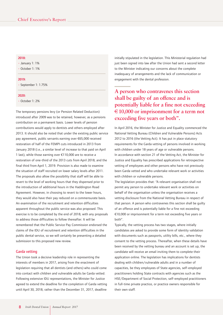#### **2018:**

• January 1: 1%

 $\cdot$  October 1: 1%

#### **2019:**

• September 1: 1.75%

#### **2020:**

• October 1: 2%

The temporary pensions levy (or Pension Related Deduction) introduced after 2009 was to be retained, however, as a pensions contribution on a permanent basis. Lower levels of pension contributions would apply to dentists and others employed after 2013. It should also be noted that under the existing public service pay agreement, public servants earning over €65,000 received restoration of half of the FEMPI cuts introduced in 2013 from January 2018 (i.e., a similar level of increase to that paid on April 1 last), while those earning over  $£110,000$  are to receive a restoration of one-third of the 2013 cuts from April 2018, and the final third from April 1, 2019. Provision is also made to examine the situation of staff recruited on lower salary levels after 2011. The proposals also allow the possibility that staff will be able to revert to the level of working hours that they dispensed prior to the introduction of additional hours in the Haddington Road Agreement. However, in choosing to revert to the lower hours, they would also have their pay reduced on a commensurate basis. An examination of the recruitment and retention difficulties apparent throughout the public service was also proposed. This exercise is to be completed by the end of 2018, with any proposals to address those difficulties to follow thereafter. It will be remembered that the Public Service Pay Commission endorsed the claims of the IDU of recruitment and retention difficulties in the public dental service, so we will certainly be presenting a detailed submission to this proposed new review.

# Garda vetting

The Union took a decisive leadership role in representing the interests of members in 2017, arising from the enactment of legislation requiring that all dentists (and others) who could come into contact with children and vulnerable adults be Garda vetted. Following extensive IDU representations, the Minister for Justice agreed to extend the deadline for the completion of Garda vetting until April 30, 2018, rather than the December 31, 2017, deadline

initially stipulated in the legislation. This Ministerial regulation had just been signed into law after the Union had sent a second letter to the Minister indicating our concerns about the complete inadequacy of arrangements and the lack of communication or engagement with the dental profession.

# **A person who contravenes this section shall be guilty of an offence and is potentially liable for a fine not exceeding** €**10,000 or imprisonment for a term not exceeding five years or both".**

In April 2016, the Minister for Justice and Equality commenced the National Vetting Bureau (Children and Vulnerable Persons) Acts 2012 to 2016 (the Vetting Act). It has put in place statutory requirements for the Garda vetting of persons involved in working with children under 18 years of age or vulnerable persons. In accordance with section 21 of the Vetting Act, the Minister for Justice and Equality has prescribed applications for retrospective vetting of employees and other persons who have not previously been Garda vetted and who undertake relevant work or activities with children or vulnerable persons.

The legislation provides that: "A relevant organisation shall not permit any person to undertake relevant work or activities on behalf of the organisation unless the organisation receives a vetting disclosure from the National Vetting Bureau in respect of that person. A person who contravenes this section shall be guilty of an offence and is potentially liable for a fine not exceeding ¤10,000 or imprisonment for a term not exceeding five years or both".

Typically, the vetting process has two stages, where initially candidates are asked to provide some form of identity validation with documents such as passports, utility bills, etc., where they consent to the vetting process. Thereafter, when these details have been received by the vetting bureau and an account is set up, the candidate will receive an email inviting them to complete their application online. The legislation has implications for dentists dealing with children/vulnerable adults and in a number of capacities, be they employees of State agencies, self-employed practitioners holding State contracts with agencies such as the HSE/Department of Social Protection, self-employed practitioners in full-time private practice, or practice owners responsible for their own staff.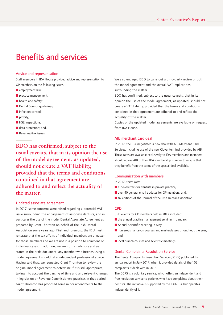# Benefits and services

# Advice and representation

Staff members in IDA House provided advice and representation to GP members on the following issues:

- **■** employment law;
- **■** practice management;
- **■** health and safety;
- **■** Dental Council guidelines;
- **■** infection control:
- **■** probity;
- **■** HSE Inspections;
- **■** data protection; and,
- **■** Revenue/tax issues.

**BDO has confirmed, subject to the usual caveats, that in its opinion the use of the model agreement, as updated, should not create a VAT liability, provided that the terms and conditions contained in that agreement are adhered to and reflect the actuality of the matter.**

# Updated associate agreement

In 2017, some concerns were raised regarding a potential VAT issue surrounding the engagement of associate dentists, and in particular the use of the model Dental Associate Agreement as prepared by Grant Thornton on behalf of the Irish Dental Association some years ago. First and foremost, the IDU must reiterate that the tax affairs of individual members are a matter for those members and we are not in a position to comment on individual cases. In addition, we are not tax advisors and as stated in the draft document, any member who intends using a model agreement should take independent professional advice. Having said that, we requested Grant Thornton to review the original model agreement to determine if it is still appropriate, taking into account the passing of time and any relevant changes in legislation or Revenue Commissioners practices in that period. Grant Thornton has proposed some minor amendments to the model agreement.

We also engaged BDO to carry out a third-party review of both the model agreement and the overall VAT implications surrounding the matter.

BDO has confirmed, subject to the usual caveats, that in its opinion the use of the model agreement, as updated, should not create a VAT liability, provided that the terms and conditions contained in that agreement are adhered to and reflect the actuality of the matter.

Copies of the updated model agreements are available on request from IDA House.

# AIB merchant card deal

In 2017, the IDA negotiated a new deal with AIB Merchant Card Services, including use of the new Clover terminal provided by AIB. These rates are available exclusively to IDA members and members should advise AIB of their IDA membership number to ensure that they benefit from the terms of the special deal available.

# Communication with members

In 2017, there were:

- **■** e-newsletters for dentists in private practice;
- **■** over 40 general email updates for GP members; and,
- **■** six editions of the Journal of the Irish Dental Association.

# **CPD**

CPD events for GP members held in 2017 included:

- **■** the annual practice management seminar in January;
- Annual Scientific Meeting in May;
- **■** numerous hands-on courses and masterclasses throughout the year; and,
- **■** local branch courses and scientific meetings.

# Dental Complaints Resolution Service

The Dental Complaints Resolution Service (DCRS) published its fifth annual report in July 2017, when it provided details of the 102 complaints it dealt with in 2016.

The DCRS is a voluntary service, which offers an independent and free mediation service to patients who have complaints about their dentists. The initiative is supported by the IDU/IDA but operates independently of it.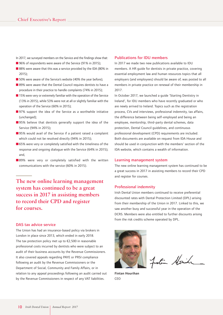In 2017, we surveyed members on the Service and the findings show that:

- 96% of respondents were aware of the Service (91% in 2015);
- 88% were aware that this was a service provided by the IDA (80% in 2015);
- 50% were aware of the Service's website (40% the year before);
- 89% were aware that the Dental Council requires dentists to have a procedure in their practice to handle complaints (74% in 2015);
- 15% were very or extremely familiar with the operation of the Service (13% in 2015), while 53% were not at all or slightly familiar with the operation of the Service (60% in 2015);
- 97% support the idea of the Service as a worthwhile initiative (unchanged);
- 95% believe that dentists generally support the idea of the Service (94% in 2015);
- 95% would avail of the Service if a patient raised a complaint which could not be resolved directly (94% in 2015);
- 65% were very or completely satisfied with the timeliness of the response and ongoing dialogue with the Service (64% in 2015); and,
- **■** 89% were very or completely satisfied with the written communications with the service (60% in 2015).

**The new online learning management system has continued to be a great success in 2017 in assisting members to record their CPD and register for courses.**

# DAS tax advice service

The Union has had an insurance-based policy via brokers in London in place since 2013, which ended in early 2018. The tax protection policy met up to  $E$ 2,500 in reasonable professional costs incurred by dentists who were subject to an audit of their business accounts by the Revenue Commissioners. It also covered appeals regarding PAYE or PRSI compliance following an audit by the Revenue Commissioners or the Department of Social, Community and Family Affairs, or in relation to any appeal proceedings following an audit carried out by the Revenue Commissioners in respect of any VAT liabilities.

# Publications for IDU members

In 2017 we made two new publications available to IDU members. A HR guide for dentists in private practice, covering essential employment law and human resources topics that all employers (and employees) should be aware of, was posted to all members in private practice on renewal of their membership in 2017.

In October 2017, we launched a guide 'Starting Dentistry in Ireland', for IDU members who have recently graduated or who are newly arrived to Ireland. Topics such as the registration process, CVs and interviews, professional indemnity, tax affairs, the difference between being self-employed and being an employee, mentorship, third-party dental schemes, data protection, Dental Council guidelines, and continuous professional development (CPD) requirements are included. Both documents are available on request from IDA House and should be used in conjunction with the members' section of the IDA website, which contains a wealth of information.

#### Learning management system

The new online learning management system has continued to be a great success in 2017 in assisting members to record their CPD and register for courses.

## Professional indemnity

Irish Dental Union members continued to receive preferential discounted rates with Dental Protection Limited (DPL) arising from their membership of the Union in 2017. Linked to this, we saw another busy and successful year in the operation of the DCRS. Members were also entitled to further discounts arising from the risk credits scheme operated by DPL.



Julie Mailre

**Fintan Hourihan CEO**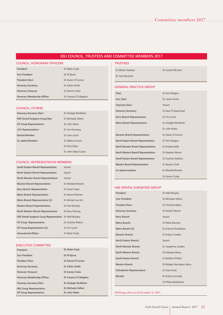# IDU COUNCIL, TRUSTEES AND COMMITTEE MEMBERS 2017

# COUNCIL: HONORARY OFFICERS

| President:                   | Dr Robin Foyle         |
|------------------------------|------------------------|
| <b>Vice President:</b>       | Dr PJ Byrne            |
| <b>President Elect:</b>      | Dr Kieran O'Connor     |
| <b>Honorary Secretary:</b>   | Dr Gillian Smith       |
| <b>Honorary Treasurer:</b>   | Dr Eamon Croke         |
| Honorary Membership Officer: | Dr Frances O'Callaghan |

#### COUNCIL: OTHERS

| <b>Honorary Secretary Elect:</b>      | Dr Clodagh McAllister |  |  |
|---------------------------------------|-----------------------|--|--|
| <b>HSE Dental Surgeons Group Rep:</b> | Dr Michaela Dalton    |  |  |
| <b>GP Group Representative:</b>       | Dr John Nolan         |  |  |
| JIDA Representative:                  | Dr Joe Hennessy       |  |  |
| <b>Elected Member:</b>                | Dr Liam Lynch         |  |  |
| Co-opted Members:                     | Dr Rebecca Gavin      |  |  |
|                                       | Dr Dina Dabic         |  |  |
|                                       | Dr John Adye-Curran   |  |  |

# COUNCIL: REPRESENTATIVE MEMBERS

| South Eastern Branch Representative:                      | Vacant             |
|-----------------------------------------------------------|--------------------|
| North Eastern Branch Representative:                      | Vacant             |
| North Munster Branch Representative:                      | Vacant             |
| Munster Branch Representative:                            | Dr Mairéad Browne  |
| Kerry Branch Representative:                              | Dr Susan Crean     |
| Metro Branch Representative:                              | Dr Naomi Rahman    |
| Metro Branch Representative (2):                          | Dr Richard Lee Kin |
| Western Branch Representative:                            | Dr Paul Murphy     |
| North Western Branch Representative:                      | Dr Rory Fleming    |
| HSE Dental Surgeons Group Representative: Dr Niall Murphy |                    |
| GP Group Representative:                                  | Dr Caroline Robins |
| GP Group Representative (2):                              | Dr Tim Lynch       |
| <b>International Affairs:</b>                             | Dr Robin Foyle     |

#### EXECUTIVE COMMITTEE

| President:                       | Dr Robin Foyle         |
|----------------------------------|------------------------|
| <b>Vice President:</b>           | Dr PJ Byrne            |
| <b>President Elect:</b>          | Dr Kieran O'Connor     |
| <b>Honorary Secretary:</b>       | Dr Gillian Smith       |
| <b>Honorary Treasurer:</b>       | Dr Eamon Croke         |
| Honorary Membership Officer:     | Dr Frances O'Callaghan |
| <b>Honorary Secretary Elect:</b> | Dr Clodagh McAllister  |
| <b>HSE Group Representative:</b> | Dr Michaela Dalton     |
| <b>GP Group Representative:</b>  | Dr John Nolan          |

# TRUSTEES

Dr Jane Renehan

Dr Martin Holohan Dr Garrett McGann

#### GENERAL PRACTICE GROUP

| Chair:                               | Dr Tom Rodgers        |
|--------------------------------------|-----------------------|
| Vice Chair:                          | Dr James Turner       |
| Chairman Elect:                      | Vacant                |
| <b>Honorary Secretary:</b>           | Dr Sean Ó Seachnasaí  |
| Kerry Branch Representative:         | Dr Tim Lynch          |
| Metro Branch Representative:         | Dr Clodagh McAllister |
|                                      | Dr John Nolan         |
| Munster Branch Representative:       | Dr Kieran O'Connor    |
| North Eastern Branch Representative: | Dr Tom Rodgers        |
| North Munster Branch Representative: | Dr Andrew Kelly       |
| North Western Branch Representative: | Dr Stephen Moore      |
| South Eastern Branch Representative: | Dr Caroline Robbins   |
| Western Branch Representative:       | Dr Neysan Chah        |
| Co-opted members:                    | Dr Mairéad Browne     |
|                                      | Dr Eamon Croke        |

#### HSE DENTAL SURGEONS GROUP

| President:                         | Dr Niall Murphy             |
|------------------------------------|-----------------------------|
| Vice-President:                    | Dr Michaela Dalton          |
| <b>President Elect:</b>            | Dr Christine Myers          |
| <b>Honorary Secretary:</b>         | Dr Amalia Pahomi            |
| Kerry Branch:                      | Vacant                      |
| Metro Branch:                      | Dr Rikka Brennan            |
| Metro Branch (2):                  | Dr Grainne Dumbleton        |
| Munster Branch:                    | Dr Evelyn Crowley           |
| North Eastern Branch:              | Vacant                      |
|                                    |                             |
| North Munster Branch:              | Dr Josephine Landers        |
| North Western Branch:              | Dr Padraig Halvey           |
| South Eastern Branch:              | Dr Barbara O'Brien          |
| Western Branch:                    | Dr Bridget Harrington-Barry |
| <b>Orthodontic Representative:</b> | Dr Ciara Scott              |
| Elected:                           | Dr Evelyn Connolly          |

*All listings above as of December 31, 2017.*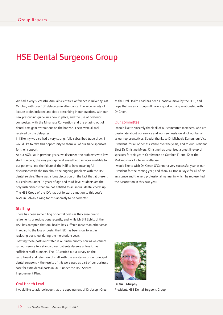# HSE Dental Surgeons Group

We had a very successful Annual Scientific Conference in Kilkenny last October, with over 150 delegates in attendance. The wide variety of lecture topics included antibiotic prescribing in our practices, with our new prescribing guidelines now in place, and the use of posterior composites, with the Minamata Convention and the phasing out of dental amalgam restorations on the horizon. These were all well received by the delegates.

In Kilkenny we also had a very strong, fully subscribed trade show. I would like to take this opportunity to thank all of our trade sponsors for their support.

At our AGM, as in previous years, we discussed the problems with low staff numbers, the very poor general anaesthetic services available to our patients, and the failure of the HSE to have meaningful discussions with the IDA about the ongoing problems with the HSE dental service. There was a long discussion on the fact that at present our children under 16 years of age and third-level students are the only Irish citizens that are not entitled to an annual dental check-up. The HSE Group of the IDA has put forward a motion to this year's AGM in Galway asking for this anomaly to be corrected.

#### **Staffing**

There has been some filling of dental posts as they arise due to retirements or resignations recently, and while Mr Bill Ebbitt of the HSE has accepted that oral health has suffered more than other areas in regard to the loss of posts, the HSE has been slow to act in replacing posts lost during the moratorium years.

Getting these posts reinstated is our main priority now as we cannot run our service to a standard our patients deserve unless it has sufficient staff numbers. The IDA carried out a survey on the recruitment and retention of staff with the assistance of our principal dental surgeons – the results of this were used as part of our business case for extra dental posts in 2018 under the HSE Service Improvement Plan.

# Oral Health Lead

I would like to acknowledge that the appointment of Dr Joseph Green

as the Oral Health Lead has been a positive move by the HSE, and hope that we as a group will have a good working relationship with Dr Green.

# Our committee

I would like to sincerely thank all of our committee members, who are passionate about our service and work selflessly on all of our behalf as our representatives. Special thanks to Dr Michaela Dalton, our Vice President, for all of her assistance over the years, and to our President Elect Dr Christine Myers. Christine has organised a great line-up of speakers for this year's Conference on October 11 and 12 at the Midlands Park Hotel in Portlaoise.

I would like to wish Dr Kieran O'Connor a very successful year as our President for the coming year, and thank Dr Robin Foyle for all of his assistance and the very professional manner in which he represented the Association in this past year.



**Dr Niall Murphy** President, HSE Dental Surgeons Group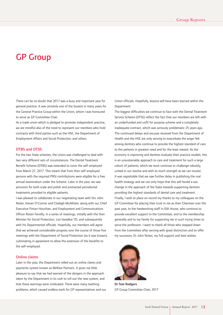# GP Group

There can be no doubt that 2017 was a busy and important year for general practice. It was certainly one of the busiest in many years for the General Practice Group within the Union, whom I was honoured to serve as GP Committee Chair.

As a trade union which is pledged to promote independent practice, we are mindful also of the need to represent our members who hold contracts with third parties such as the HSE, the Department of Employment Affairs and Social Protection, and others.

# DTBS and DTSS

For the two State schemes, the Union was challenged to deal with two very different sets of circumstances. The Dental Treatment Benefit Scheme (DTBS) was extended to cover the self-employed from March 27, 2017. This meant that from then self-employed persons with the required PRSI contributions were eligible for a free annual examination under the Scheme. Later in the year, we saw provision for both scale and polish and protracted periodontal treatments provided to eligible patients.

I was pleased to collaborate in our negotiating team with Drs John Nolan, Kieran O'Connor and Clodagh McAllister, along with our Chief Executive Fintan Hourihan, and Employment and Communications Officer Roisín Farrelly, in a series of meetings, initially with the then Minister for Social Protection, Leo Varadkar TD, and subsequently with his Departmental officials. Hopefully, our members will agree that we achieved considerable progress over the course of those five meetings with the Department of Social Protection (as it was known), culminating in agreement to allow the extension of the benefits to the self-employed.

# Online claims

Later in the year, the Department rolled out an online claims and payments system known as Welfare Partners. It gives me little pleasure to say that we had warned of the dangers in the approach taken by the Department in its rush to roll out the new system, and that these warnings were vindicated. There were many teething problems, which caused endless work for GP representatives and our

Union officials. Hopefully, lessons will have been learned within the Department.

The biggest difficulties we continue to face with the Dental Treatment Service Scheme (DTSS) reflect the fact that our members are left with an underfunded and unfit for purpose scheme and a completely inadequate contract, which was seriously problematic 25 years ago. The continued delays and excuses received from the Department of Health and the HSE are only serving to exacerbate the anger felt among dentists who continue to provide the highest standard of care to the patients in greatest need and for the least reward. As the economy is improving and dentists evaluate their practice models, this is an unsustainable approach to care and treatment for such a large cohort of patients, which we must continue to challenge robustly, united in our resolve and with as much strength as we can muster. It was regrettable that we saw further delay in publishing the oral health strategy and we can only hope that this will herald a sea change in the approach of the State towards supporting dentists providing the highest standards of dental care and treatment. Finally, I wish to place on record my thanks to my colleagues on the GP Committee for placing their trust in me as their Chairman over the past year, to the hardworking staff in IDA House, who continue to provide excellent support to the Committee, and to the membership generally and to my family for supporting me in such trying times to serve the profession. I want to thank all those who stepped down from the Committee after serving with great distinction and to offer my successor, Dr John Nolan, my full support and best wishes.



**Dr Tom Rodgers** GP Group Committee Chair, 2017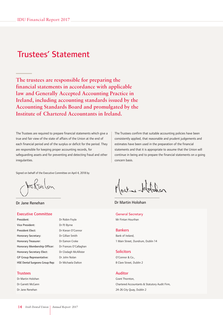# Trustees' Statement

**The trustees are responsible for preparing the financial statements in accordance with applicable law and Generally Accepted Accounting Practice in Ireland, including accounting standards issued by the Accounting Standards Board and promulgated by the Institute of Chartered Accountants in Ireland.**

The Trustees are required to prepare financial statements which give a true and fair view of the state of affairs of the Union at the end of each financial period and of the surplus or deficit for the period. They are responsible for keeping proper accounting records, for safeguarding assets and for preventing and detecting fraud and other irregularities.

Signed on behalf of the Executive Committee on April 4, 2018 by

wetterlow  $\overbrace{\phantom{aaaaa}}^{x}$ 

Dr Jane Renehan

#### Executive Committee

President: Dr Robin Foyle Vice President: Dr PJ Byrne President Elect: Dr Kieran O'Connor Honorary Secretary: Dr Gillian Smith Honorary Treasurer: Dr Eamon Croke Honorary Membership Officer: Dr Frances O'Callaghan Honorary Secretary Elect: Dr Clodagh McAllister GP Group Representative: Dr John Nolan HSE Dental Surgeons Group Rep: Dr Michaela Dalton

# **Trustees**

Dr Martin Holohan Dr Garrett McGann Dr Jane Renehan

The Trustees confirm that suitable accounting policies have been consistently applied, that reasonable and prudent judgements and estimates have been used in the preparation of the financial statements and that it is appropriate to assume that the Union will continue in being and to prepare the financial statements on a going concern basis.

Martine-Jelofohan

\_\_\_\_\_\_\_\_\_\_\_\_\_\_\_\_\_\_\_\_\_\_\_\_\_\_\_\_\_\_

Dr Martin Holohan

#### General Secretary

Mr Fintan Hourihan

#### Bankers

Bank of Ireland, 1 Main Street, Dundrum, Dublin 14

## **Solicitors**

O'Connor & Co., 8 Clare Street, Dublin 2

# Auditor

Grant Thornton, Chartered Accountants & Statutory Audit Firm, 24-26 City Quay, Dublin 2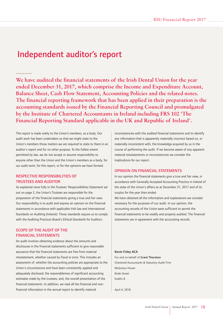# Independent auditor's report

**We have audited the financial statements of the Irish Dental Union for the year ended December 31, 2017, which comprise the Income and Expenditure Account, Balance Sheet, Cash Flow Statement, Accounting Policies and the related notes. The financial reporting framework that has been applied in their preparation is the accounting standards issued by the Financial Reporting Council and promulgated by the Institute of Chartered Accountants in Ireland including FRS 102 'The Financial Reporting Standard applicable in the UK and Republic of Ireland'.**

This report is made solely to the Union's members, as a body. Our audit work has been undertaken so that we might state to the Union's members those matters we are required to state to them in an auditor's report and for no other purpose. To the fullest extent permitted by law, we do not accept or assume responsibility to anyone other than the Union and the Union's members as a body, for our audit work, for this report, or for the opinions we have formed.

# RESPECTIVE RESPONSIBILITIES OF TRUSTEES AND AUDITOR

As explained more fully in the Trustees' Responsibilities Statement set out on page 2, the Union's Trustees are responsible for the preparation of the financial statements giving a true and fair view. Our responsibility is to audit and express an opinion on the financial statements in accordance with applicable Irish law and International Standards on Auditing (Ireland). Those standards require us to comply with the Auditing Practices Board's Ethical Standards for Auditors.

# SCOPE OF THE AUDIT OF THE FINANCIAL STATEMENTS

An audit involves obtaining evidence about the amounts and disclosures in the financial statements sufficient to give reasonable assurance that the financial statements are free from material misstatement, whether caused by fraud or error. This includes an assessment of: whether the accounting policies are appropriate to the Union's circumstances and have been consistently applied and adequately disclosed; the reasonableness of significant accounting estimates made by the trustees; and, the overall presentation of the financial statements. In addition, we read all the financial and nonfinancial information in the annual report to identify material

inconsistencies with the audited financial statements and to identify any information that is apparently materially incorrect based on, or materially inconsistent with, the knowledge acquired by us in the course of performing the audit. If we become aware of any apparent material misstatements or inconsistencies we consider the implications for our report.

# OPINION ON FINANCIAL STATEMENTS

In our opinion the financial statements give a true and fair view, in accordance with Generally Accepted Accounting Practice in Ireland of the state of the Union's affairs as at December 31, 2017 and of its surplus for the year then ended.

We have obtained all the information and explanations we consider necessary for the purposes of our audit. In our opinion, the accounting records of the Union were sufficient to permit the financial statements to be readily and properly audited. The financial statements are in agreement with the accounting records.

# **Kevin Foley ACA**

For and on behalf of **Grant Thornton** Chartered Accountants & Statutory Audit Firm Molyneux House Bride Street Dublin 8

April 4, 2018.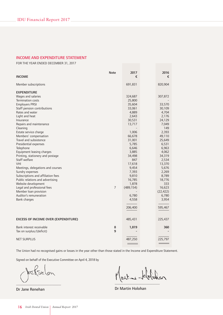# INCOME AND EXPENDITURE STATEMENT

FOR THE YEAR ENDED DECEMBER 31, 2017

| <b>INCOME</b>                                                                                                                                                                                                                                                                                                                                                                                                                                                                                                                                                                                                                                                                                      | <b>Note</b> | 2017<br>€                                                                                                                                                                                                                                    | 2016<br>€                                                                                                                                                                                                                                         |
|----------------------------------------------------------------------------------------------------------------------------------------------------------------------------------------------------------------------------------------------------------------------------------------------------------------------------------------------------------------------------------------------------------------------------------------------------------------------------------------------------------------------------------------------------------------------------------------------------------------------------------------------------------------------------------------------------|-------------|----------------------------------------------------------------------------------------------------------------------------------------------------------------------------------------------------------------------------------------------|---------------------------------------------------------------------------------------------------------------------------------------------------------------------------------------------------------------------------------------------------|
| Member subscriptions                                                                                                                                                                                                                                                                                                                                                                                                                                                                                                                                                                                                                                                                               |             | 691,831                                                                                                                                                                                                                                      | 820,904                                                                                                                                                                                                                                           |
| <b>EXPENDITURE</b><br>Wages and salaries<br><b>Termination costs</b><br><b>Employers PRSI</b><br>Staff pension contributions<br>Rates and water<br>Light and heat<br>Insurance<br>Repairs and maintenance<br>Cleaning<br>Estate service charge<br>Members' compensation<br>Travel and subsistence<br>Presidential expenses<br>Telephone<br>Equipment leasing charges<br>Printing, stationery and postage<br>Staff welfare<br>VHI<br>Meetings, delegations and courses<br>Sundry expenses<br>Subscriptions and affiliation fees<br>Public relations and advertising<br>Website development<br>Legal and professional fees<br>Member loan provision<br>Auditor's remuneration<br><b>Bank charges</b> | 7           | 324,687<br>25,800<br>35,604<br>33,061<br>4,889<br>2,643<br>30,531<br>13,717<br>1,006<br>66,678<br>31,001<br>5,785<br>6,646<br>3,885<br>34,498<br>847<br>17,618<br>9,454<br>7,393<br>9,810<br>16,785<br>1,878<br>(489, 154)<br>6,780<br>4,558 | 307,872<br>33,570<br>30,109<br>4,704<br>2,176<br>24,129<br>7,049<br>149<br>2,393<br>49,110<br>25,649<br>6,531<br>6,963<br>4,062<br>34,319<br>2,534<br>13,370<br>5,676<br>2,269<br>8,789<br>18,776<br>333<br>16,623<br>(22, 422)<br>6,780<br>3,954 |
| <b>EXCESS OF INCOME OVER (EXPENDITURE)</b>                                                                                                                                                                                                                                                                                                                                                                                                                                                                                                                                                                                                                                                         |             | 206,400<br>485,431                                                                                                                                                                                                                           | 595,467<br>225,437                                                                                                                                                                                                                                |
| Bank interest receivable<br>Tax on surplus/(deficit)                                                                                                                                                                                                                                                                                                                                                                                                                                                                                                                                                                                                                                               | 8<br>9      | 1,819                                                                                                                                                                                                                                        | 360                                                                                                                                                                                                                                               |
| <b>NET SURPLUS</b>                                                                                                                                                                                                                                                                                                                                                                                                                                                                                                                                                                                                                                                                                 |             | 487,250                                                                                                                                                                                                                                      | 225,797                                                                                                                                                                                                                                           |

The Union had no recognised gains or losses in the year other than those stated in the Income and Expenditure Statement.

Signed on behalf of the Executive Committee on April 4, 2018 by

METEAElon

\_\_\_\_\_\_\_\_\_\_\_\_\_\_\_\_\_\_\_\_\_\_\_\_\_\_\_\_\_\_

Dr Jane Renehan

Martine-Scholahan  $\frac{1}{\sqrt{2}}$  ,  $\frac{1}{\sqrt{2}}$  ,  $\frac{1}{\sqrt{2}}$  ,  $\frac{1}{\sqrt{2}}$  ,  $\frac{1}{\sqrt{2}}$  ,  $\frac{1}{\sqrt{2}}$  ,  $\frac{1}{\sqrt{2}}$  ,  $\frac{1}{\sqrt{2}}$  ,  $\frac{1}{\sqrt{2}}$  ,  $\frac{1}{\sqrt{2}}$  ,  $\frac{1}{\sqrt{2}}$  ,  $\frac{1}{\sqrt{2}}$  ,  $\frac{1}{\sqrt{2}}$  ,  $\frac{1}{\sqrt{2}}$  ,  $\frac{1}{\sqrt{2}}$ 

Dr Martin Holohan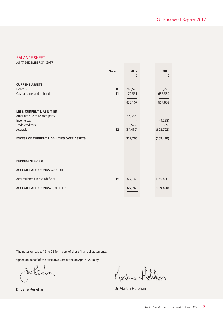# BALANCE SHEET

AS AT DECEMBER 31, 2017

|                                                                                                                                                                   | <b>Note</b> | 2017<br>€                                     | 2016<br>€                                    |
|-------------------------------------------------------------------------------------------------------------------------------------------------------------------|-------------|-----------------------------------------------|----------------------------------------------|
| <b>CURRENT ASSETS</b><br>Debtors<br>Cash at bank and in hand                                                                                                      | 10<br>11    | 249,576<br>172,531<br>422,107                 | 30,229<br>637,580<br>667,809                 |
| <b>LESS: CURRENT LIABILITIES</b><br>Amounts due to related party<br>Income tax<br>Trade creditors<br>Accruals<br><b>EXCESS OF CURRENT LIABILITIES OVER ASSETS</b> | 12          | (57, 363)<br>(2, 574)<br>(34, 410)<br>327,760 | (4,258)<br>(339)<br>(822, 702)<br>(159, 490) |
| <b>REPRESENTED BY:</b>                                                                                                                                            |             |                                               |                                              |
| <b>ACCUMULATED FUNDS ACCOUNT</b>                                                                                                                                  |             |                                               |                                              |
| Accumulated funds/ (deficit)                                                                                                                                      | 15          | 327,760                                       | (159, 490)                                   |
| <b>ACCUMULATED FUNDS/ (DEFICIT)</b>                                                                                                                               |             | 327,760                                       | (159, 490)                                   |

The notes on pages 19 to 23 form part of these financial statements.

Signed on behalf of the Executive Committee on April 4, 2018 by

metterlon \_\_\_\_\_\_\_\_\_\_\_\_\_\_\_\_\_\_\_\_\_\_\_\_\_\_\_\_\_\_

Dr Jane Renehan

 $\frac{1}{\sqrt{2}}$  ,  $\frac{1}{\sqrt{2}}$  ,  $\frac{1}{\sqrt{2}}$  ,  $\frac{1}{\sqrt{2}}$  ,  $\frac{1}{\sqrt{2}}$  ,  $\frac{1}{\sqrt{2}}$  ,  $\frac{1}{\sqrt{2}}$  ,  $\frac{1}{\sqrt{2}}$  ,  $\frac{1}{\sqrt{2}}$  ,  $\frac{1}{\sqrt{2}}$  ,  $\frac{1}{\sqrt{2}}$  ,  $\frac{1}{\sqrt{2}}$  ,  $\frac{1}{\sqrt{2}}$  ,  $\frac{1}{\sqrt{2}}$  ,  $\frac{1}{\sqrt{2}}$ 

Dr Martin Holohan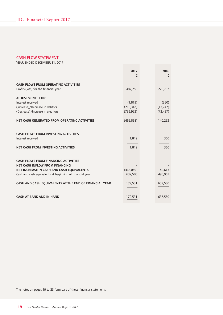# CASH FLOW STATEMENT

YEAR ENDED DECEMBER 31, 2017

|                                                          | 2017<br>€     | 2016<br>€ |
|----------------------------------------------------------|---------------|-----------|
| <b>CASH FLOWS FROM OPERATING ACTIVITIES</b>              |               |           |
| Profit/(loss) for the financial year                     | 487,250       | 225,797   |
| <b>ADJUSTMENTS FOR:</b>                                  |               |           |
| Interest received                                        | (1, 819)      | (360)     |
| (Increase)/Decrease in debtors                           | (219, 347)    | (12, 747) |
| (Decrease)/Increase in creditors                         | (732, 952)    | (72, 437) |
| NET CASH GENERATED FROM OPERATING ACTIVITIES             | (466, 868)    | 140,253   |
|                                                          |               |           |
| <b>CASH FLOWS FROM INVESTING ACTIVITIES</b>              |               |           |
| Interest received                                        | 1,819         | 360       |
|                                                          |               |           |
| <b>NET CASH FROM INVESTING ACTIVITIES</b>                | 1,819         | 360       |
|                                                          |               |           |
| <b>CASH FLOWS FROM FINANCING ACTIVITIES</b>              |               |           |
| <b>NET CASH INFLOW FROM FINANCING</b>                    |               |           |
| NET INCREASE IN CASH AND CASH EQUIVALENTS                | (465, 049)    | 140,613   |
| Cash and cash equivalents at beginning of financial year | 637,580       | 496,967   |
| CASH AND CASH EQUIVALENTS AT THE END OF FINANCIAL YEAR   | 172,531       | 637,580   |
|                                                          | $\sim$ $\sim$ |           |
| <b>CASH AT BANK AND IN HAND</b>                          | 172,531       | 637,580   |
|                                                          |               |           |

The notes on pages 19 to 23 form part of these financial statements.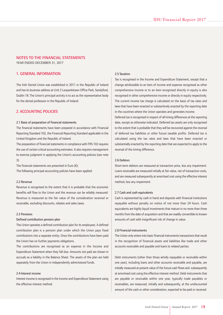# NOTES TO THE FINANCIAL STATEMENTS

YEAR ENDED DECEMBER 31, 2017

# 1. GENERAL INFORMATION

The Irish Dental Union was established in 2011 in the Republic of Ireland and has its business address at Unit 2 Leopardstown Office Park, Sandyford, Dublin 18. The Union's principal activity is to act as the representative body for the dental profession in the Republic of Ireland.

# 2. ACCOUNTING POLICIES

#### 2.1 Basis of preparation of financial statements

The financial statements have been prepared in accordance with Financial Reporting Standard 102, the Financial Reporting Standard applicable in the United Kingdom and the Republic of Ireland.

The preparation of financial statements in compliance with FRS 102 requires the use of certain critical accounting estimates. It also requires management to exercise judgment in applying the Union's accounting policies (see note 3).

The financial statements are presented in Euro  $(\epsilon)$ .

The following principal accounting policies have been applied:

#### 2.2 Revenue

Revenue is recognised to the extent that it is probable that the economic benefits will flow to the Union and the revenue can be reliably measured. Revenue is measured as the fair value of the consideration received or receivable, excluding discounts, rebates and sales taxes.

#### 2.3 Pensions

## Defined contribution pension plan

The Union operates a defined contribution plan for its employees. A defined contribution plan is a pension plan under which the Union pays fixed contributions into a separate entity. Once the contributions have been paid the Union has no further payments obligations.

The contributions are recognised as an expense in the Income and Expenditure Statement when they fall due. Amounts not paid are shown in accruals as a liability in the Balance Sheet. The assets of the plan are held separately from the Union in independently administered funds.

# 2.4 Interest income

Interest income is recognised in the Income and Expenditure Statement using the effective interest method.

#### 2.5 Taxation

Tax is recognised in the Income and Expenditure Statement, except that a change attributable to an item of income and expense recognised as other comprehensive income or to an item recognised directly in equity is also recognised in other comprehensive income or directly in equity respectively. The current income tax charge is calculated on the basis of tax rates and laws that have been enacted or substantively enacted by the reporting date in the countries where the Union operates and generates income.

Deferred tax is recognised in respect of all timing differences at the reporting date, except as otherwise indicated. Deferred tax assets are only recognised to the extent that is probable that they will be recovered against the reversal of deferred tax liabilities or other future taxable profits. Deferred tax is calculated using the tax rates and laws that have been enacted or substantially enacted by the reporting date that are expected to apply to the reversal of the timing difference.

#### 2.6 Debtors

Short-term debtors are measured at transaction price, less any impairment. Loans receivable are measured initially at fair value, net of transaction costs, and are measured subsequently at amortised cost using the effective interest method, less any impairment.

## 2.7 Cash and cash equivalents

Cash is represented by cash in hand and deposits with financial institutions repayable without penalty on notice of not more than 24 hours. Cash equivalents are highly liquid investments that mature in no more than three months from the date of acquisition and that are readily convertible to known amounts of cash with insignificant risk of change in value.

#### 2.8 Financial instruments

The Union only enters into basic financial instruments transactions that result in the recognition of financial assets and liabilities like trade and other accounts receivable and payable and loans to related parties.

Debt instruments (other than those wholly repayable or receivable within one year), including loans and other accounts receivable and payable, are initially measured at present value of the future cash flows and subsequently at amortised cost using the effective interest method. Debt instruments that are payable or receivable within one year, typically trade payables or receivables, are measured, initially and subsequently, at the undiscounted amount of the cash or other consideration, expected to be paid or received.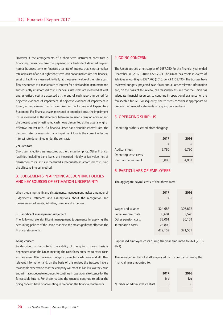However if the arrangements of a short-term instrument constitute a financing transaction, like the payment of a trade debt deferred beyond normal business terms or financed at a rate of interest that is not a market rate or in case of an out-right short-term loan not at market rate, the financial asset or liability is measured, initially, at the present value of the future cash flow discounted at a market rate of interest for a similar debt instrument and subsequently at amortised cost. Financial assets that are measured at cost and amortised cost are assessed at the end of each reporting period for objective evidence of impairment. If objective evidence of impairment is found, an impairment loss is recognised in the Income and Expenditure Statement. For financial assets measured at amortised cost, the impairment loss is measured as the difference between an asset's carrying amount and the present value of estimated cash flows discounted at the asset's original effective interest rate. If a financial asset has a variable interest rate, the discount rate for measuring any impairment loss is the current effective interest rate determined under the contract.

#### 2.9 Creditors

Short term creditors are measured at the transaction price. Other financial liabilities, including bank loans, are measured initially at fair value, net of transaction costs, and are measured subsequently at amortised cost using the effective interest method.

# 3. JUDGEMENTS IN APPLYING ACCOUNTING POLICIES AND KEY SOURCES OF ESTIMATION UNCERTAINTY

When preparing the financial statements, management makes a number of judgements, estimates and assumptions about the recognition and measurement of assets, liabilities, income and expenses.

#### 3.1 Significant management judgement

The following are significant management judgements in applying the accounting policies of the Union that have the most significant effect on the financial statements.

#### Going concern

As described in the note 4, the validity of the going concern basis is dependent upon the Union meeting the cash flows prepared to cover costs as they arise. After reviewing budgets, projected cash flows and all other relevant information and, on the basis of this review, the trustees have a reasonable expectation that the company will meet its liabilities as they arise and will have adequate resources to continue in operational existence for the foreseeable future. For these reasons the trustees continue to adopt the going concern basis of accounting in preparing the financial statements.

# 4. GOING CONCERN

The Union accrued a net surplus of  $£487,250$  for the financial year ended December 31, 2017 (2016: €225,797). The Union has assets in excess of liabilities amounting to €327,760 (2016: deficit €159,490). The trustees have reviewed budgets, projected cash flows and all other relevant information and, on the basis of this review, can reasonably assume that the Union has adequate financial resources to continue in operational existence for the foreseeable future. Consequently, the trustees consider it appropriate to prepare the financial statements on a going concern basis.

# 5. OPERATING SURPLUS

Operating profit is stated after charging:

|                        | 2017  | 2016  |
|------------------------|-------|-------|
|                        | €     | €     |
| Auditor's fees         | 6.780 | 6.780 |
| Operating lease costs: |       |       |
| Plant and equipment    | 3,885 | 4,062 |

# 6. PARTICULARS OF EMPLOYEES

The aggregate payroll costs of the above were:

|                          | 2017    | 2016    |
|--------------------------|---------|---------|
|                          | €       | €       |
|                          |         |         |
| Wages and salaries       | 324,687 | 307,872 |
| Social welfare costs     | 35,604  | 33,570  |
| Other pension costs      | 33,061  | 30,109  |
| <b>Termination costs</b> | 25,800  |         |
|                          | 419,152 | 371,551 |
|                          |         |         |

Capitalised employee costs during the year amounted to  $\epsilon$ Nil (2016: ¤Nil).

The average number of staff employed by the company during the financial year amounted to:

|                                | 2017 | 2016 |
|--------------------------------|------|------|
|                                | Nο   | No   |
| Number of administrative staff | 6    | 6    |
|                                |      |      |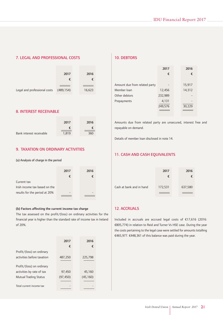# 7. LEGAL AND PROFESSIONAL COSTS



# 8. INTEREST RECEIVABLE

|                          | 2017  | 2016 |  |
|--------------------------|-------|------|--|
|                          |       | ŧ    |  |
| Bank interest receivable | 1.819 | 360  |  |

# 9. TAXATION ON ORDINARY ACTIVITIES

(a) Analysis of charge in the period

|                               | 2017 | 2016 |
|-------------------------------|------|------|
|                               | €    | €    |
| Current tax                   |      |      |
| Irish income tax based on the |      |      |
| results for the period at 20% |      |      |
|                               |      |      |

# **(b) Factors affecting the current income tax charge**

The tax assessed on the profit/(loss) on ordinary activities for the financial year is higher than the standard rate of income tax in Ireland of 20%.

|                              | 2017<br>€ | 2016<br>€ |  |
|------------------------------|-----------|-----------|--|
| Profit/(loss) on ordinary    |           |           |  |
| activities before taxation   | 487,250   | 225,798   |  |
| Profit/(loss) on ordinary    |           |           |  |
| activities by rate of tax    | 97,450    | 45,160    |  |
| <b>Mutual Trading Status</b> | (97, 450) | (45, 160) |  |
| Total current income tax     |           |           |  |

# 10. DEBTORS

|                               | 2017    | 2016   |
|-------------------------------|---------|--------|
|                               | €       | €      |
|                               |         |        |
| Amount due from related party |         | 15,917 |
| Member loan                   | 12,456  | 14,312 |
| Other debtors                 | 232,989 |        |
| Prepayments                   | 4,131   |        |
|                               | 249,576 | 30,229 |
|                               |         |        |

Amounts due from related party are unsecured, interest free and repayable on demand.

Details of member loan disclosed in note 14.

# 11. CASH AND CASH EQUIVALENTS

|                          | 2017<br>€ | 2016    |
|--------------------------|-----------|---------|
| Cash at bank and in hand | 172,531   | 637,580 |
|                          |           |         |

# 12. ACCRUALS

Included in accruals are accrued legal costs of  $E17,616$  (2016: €805,774) in relation to Reid and Turner Vs HSE case. During the year the costs pertaining to the legal case were settled for amounts totalling €465,977. €448,361 of this balance was paid during the year.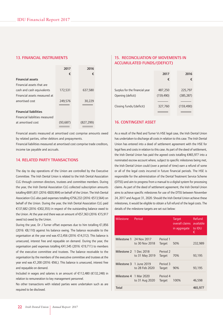# 13. FINANCIAL INSTRUMENTS

|                                | 2017<br>€ | 2016<br>€  |  |
|--------------------------------|-----------|------------|--|
| <b>Financial assets</b>        |           |            |  |
| Financial assets that are      |           |            |  |
| cash and cash equivalents      | 172,531   | 637,580    |  |
| Financial assets measured at   |           |            |  |
| amortised cost                 | 249,576   | 30,229     |  |
| <b>Financial liabilities</b>   |           |            |  |
| Financial liabilities measured |           |            |  |
| at amortised cost              | (93, 687) | (827, 299) |  |

Financial assets measured at amortised cost comprise amounts owed by related parties, other debtors and prepayments.

Financial liabilities measured at amortised cost comprise trade creditors, income tax payable and accruals.

# 14. RELATED PARTY TRANSACTIONS

The day to day operations of the Union are controlled by the Executive Committee. The Irish Dental Union is related to the Irish Dental Association CLG through common directors, trustees and committee members. During the year, the Irish Dental Association CLG collected subscription amounts totalling €691,831 (2016: €820,904) on behalf of the Union. The Irish Dental Association CLG also paid expenses totalling €756,232 (2016: €513,564) on behalf of the Union. During the year, the Irish Dental Association CLG paid ¤137,682 (2016: ¤302,355) in respect of the outstanding balance owed to the Union. At the year end there was an amount of €57,363 (2016: €15,917 owed to) owed by the Union.

During the year, Dr J Turner offset expenses due to him totalling  $E1,856$ (2016: ¤8,110) against his balance owing. The balance receivable to the organisation at the year end was ¤12,456 (2016: ¤14,312). This balance is unsecured, interest free and repayable on demand. During the year, the organisation paid expenses totalling €41,545 (2016: €19,711) to members of the executive committee and trustees. The balance receivable to the organisation by the members of the executive committee and trustees at the year end was €1,200 (2016: €NIL). This balance is unsecured, interest free and repayable on demand.

Included in wages and salaries is an amount of €112,480 (€132,248) in relation to remuneration to key management personnel.

No other transactions with related parties were undertaken such as are required to be disclosed.

# 15. RECONCILIATION OF MOVEMENTS IN ACCUMULATED FUNDS/(DEFICIT)

|                                | 2017       | 2016       |
|--------------------------------|------------|------------|
|                                | €          | €          |
| Surplus for the financial year | 487,250    | 225,797    |
| Opening (deficit)              | (159, 490) | (385, 287) |
| Closing funds/(deficit)        | 327,760    | (159, 490) |
|                                |            |            |

# 16. CONTINGENT ASSET

As a result of the Reid and Turner Vs HSE legal case, the Irish Dental Union has undertaken to discharge all costs in relation to this case. The Irish Dental Union has entered into a deed of settlement agreement with the HSE for legal fees and costs in relation to this case. As part of the deed of settlement, the Irish Dental Union has paid the agreed costs totalling €465,977 into a nominated escrow account where, subject to specific milestones being met, the Irish Dental Union could (over a period of time) earn a refund of some or all of the legal costs incurred in future financial periods. The HSE is responsible for the administration of the Dental Treatment Service Scheme (DTSS) and aim to progress from a manual to a digital system for processing claims. As part of the deed of settlement agreement, the Irish Dental Union aims to achieve specific milestones for use of the DTSS between November 24, 2017 and August 31, 2020. Should the Irish Dental Union achieve these milestones, it would be eligible to obtain a full refund of the legal costs. The details of the milestone targets are set out below:

| Milestone              | Period                                    |                               | <b>Target</b><br>overall claims<br>in aggregate | Refund<br>available<br>to <b>IDU</b><br>€ |
|------------------------|-------------------------------------------|-------------------------------|-------------------------------------------------|-------------------------------------------|
|                        | Milestone 1 24 Nov 2017<br>to 30 Nov 2018 | Period 1<br>Target            | 50%                                             | 232,989                                   |
| Milestone 2 1 Dec 2018 | to 31 May 2019                            | Period <sub>2</sub><br>Target | 70%                                             | 93,195                                    |
|                        | Milestone 3 1 June 2019<br>to 28 Feb 2020 | Period 3<br>Target            | 90%                                             | 93,195                                    |
| Milestone 4            | 1 Mar 2020<br>to 31 Aug 2020              | Period 4<br>Target            | 100%                                            | 46,598                                    |
| Total                  |                                           |                               |                                                 | 465,977                                   |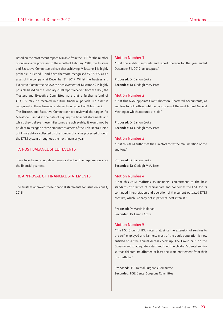Based on the most recent report available from the HSE for the number of online claims processed in the month of February 2018, the Trustees and Executive Committee believe that achieving Milestone 1 is highly probable in Period 1 and have therefore recognised €232,989 as an asset of the company at December 31, 2017. Whilst the Trustees and Executive Committee believe the achievement of Milestone 2 is highly possible based on the February 2018 report received from the HSE, the Trustees and Executive Committee note that a further refund of ¤93,195 may be received in future financial periods. No asset is recognised in these financial statements in respect of Milestone 2. The Trustees and Executive Committee have reviewed the targets for

Milestone 3 and 4 at the date of signing the financial statements and whilst they believe these milestones are achievable, it would not be prudent to recognise these amounts as assets of the Irish Dental Union until more data is collected on the number of claims processed through the DTSS system throughout the next financial year.

# 17. POST BALANCE SHEET EVENTS

There have been no significant events affecting the organisation since the financial year end.

# 18. APPROVAL OF FINANCIAL STATEMENTS

The trustees approved these financial statements for issue on April 4, 2018.

"That the audited accounts and report thereon for the year ended December 31, 2017 be accepted."

**Proposed:** Dr Eamon Croke **Seconded:** Dr Clodagh McAllister

#### Motion Number 2

"That this AGM appoints Grant Thornton, Chartered Accountants, as auditors to hold office until the conclusion of the next Annual General Meeting at which accounts are laid."

**Proposed:** Dr Eamon Croke **Seconded:** Dr Clodagh McAllister

#### Motion Number 3

"That this AGM authorises the Directors to fix the remuneration of the auditors."

**Proposed:** Dr Eamon Croke **Seconded:** Dr Clodagh McAllister

# Motion Number 4

"That this AGM reaffirms its members' commitment to the best standards of practice of clinical care and condemns the HSE for its continued interpretation and operation of the current outdated DTSS contract, which is clearly not in patients' best interest."

**Proposed:** Dr Martin Holohan **Seconded:** Dr Eamon Croke

## Motion Number 5

"The HSE Group of IDU notes that, since the extension of services to the self-employed and farmers, most of the adult population is now entitled to a free annual dental check-up. The Group calls on the Government to adequately staff and fund the children's dental service so that children are afforded at least the same entitlement from their first birthday."

**Proposed:** HSE Dental Surgeons Committee **Seconded:** HSE Dental Surgeons Committee